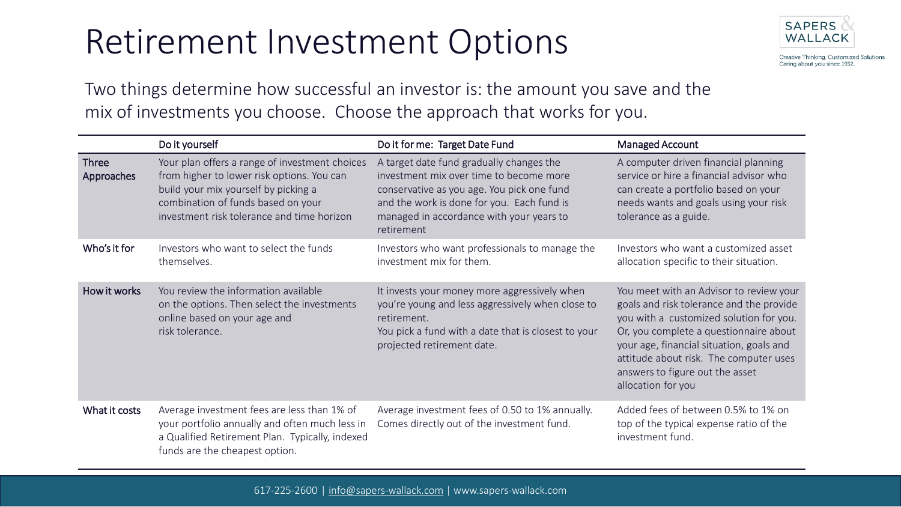## Retirement Investment Options



Creative Thinking. Customized Solutions. Caring about you since 1932.

Two things determine how successful an investor is: the amount you save and the mix of investments you choose. Choose the approach that works for you.

|                            | Do it yourself                                                                                                                                                                                                           | Do it for me: Target Date Fund                                                                                                                                                                                                            | Managed Account                                                                                                                                                                                                                                                                                                         |
|----------------------------|--------------------------------------------------------------------------------------------------------------------------------------------------------------------------------------------------------------------------|-------------------------------------------------------------------------------------------------------------------------------------------------------------------------------------------------------------------------------------------|-------------------------------------------------------------------------------------------------------------------------------------------------------------------------------------------------------------------------------------------------------------------------------------------------------------------------|
| <b>Three</b><br>Approaches | Your plan offers a range of investment choices<br>from higher to lower risk options. You can<br>build your mix yourself by picking a<br>combination of funds based on your<br>investment risk tolerance and time horizon | A target date fund gradually changes the<br>investment mix over time to become more<br>conservative as you age. You pick one fund<br>and the work is done for you. Each fund is<br>managed in accordance with your years to<br>retirement | A computer driven financial planning<br>service or hire a financial advisor who<br>can create a portfolio based on your<br>needs wants and goals using your risk<br>tolerance as a guide.                                                                                                                               |
| Who's it for               | Investors who want to select the funds<br>themselves.                                                                                                                                                                    | Investors who want professionals to manage the<br>investment mix for them.                                                                                                                                                                | Investors who want a customized asset<br>allocation specific to their situation.                                                                                                                                                                                                                                        |
| How it works               | You review the information available<br>on the options. Then select the investments<br>online based on your age and<br>risk tolerance.                                                                                   | It invests your money more aggressively when<br>you're young and less aggressively when close to<br>retirement.<br>You pick a fund with a date that is closest to your<br>projected retirement date.                                      | You meet with an Advisor to review your<br>goals and risk tolerance and the provide<br>you with a customized solution for you.<br>Or, you complete a questionnaire about<br>your age, financial situation, goals and<br>attitude about risk. The computer uses<br>answers to figure out the asset<br>allocation for you |
| What it costs              | Average investment fees are less than 1% of<br>your portfolio annually and often much less in<br>a Qualified Retirement Plan. Typically, indexed<br>funds are the cheapest option.                                       | Average investment fees of 0.50 to 1% annually.<br>Comes directly out of the investment fund.                                                                                                                                             | Added fees of between 0.5% to 1% on<br>top of the typical expense ratio of the<br>investment fund.                                                                                                                                                                                                                      |